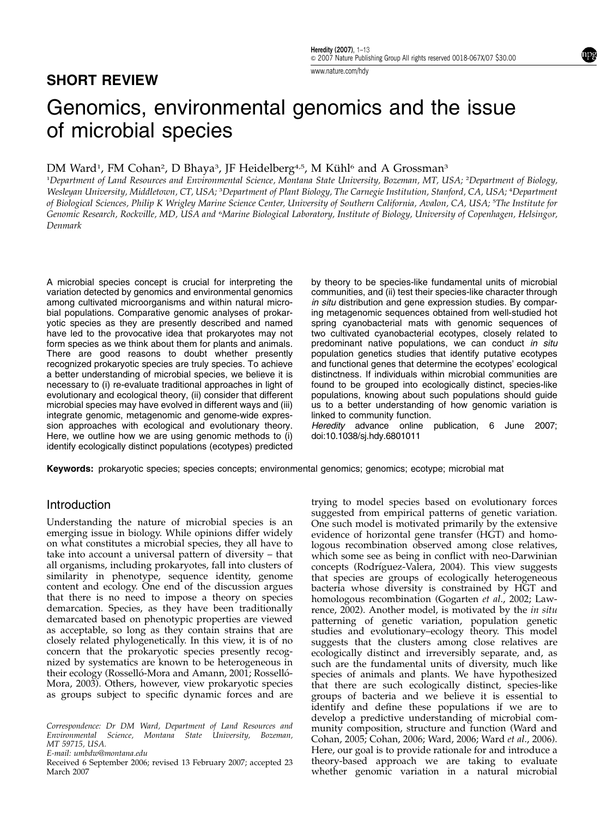# SHORT REVIEW

# Genomics, environmental genomics and the issue of microbial species

# DM Ward<sup>1</sup>, FM Cohan<sup>2</sup>, D Bhaya<sup>3</sup>, JF Heidelberg<sup>4,5</sup>, M Kühl<sup>6</sup> and A Grossman<sup>3</sup>

<sup>1</sup>Department of Land Resources and Environmental Science, Montana State University, Bozeman, MT, USA; <sup>2</sup>Department of Biology, Wesleyan University, Middletown, CT, USA; <sup>3</sup>Department of Plant Biology, The Carnegie Institution, Stanford, CA, USA; <sup>4</sup>Department of Biological Sciences, Philip K Wrigley Marine Science Center, University of Southern California, Avalon, CA, USA; <sup>5</sup> The Institute for Genomic Research, Rockville, MD, USA and 'Marine Biological Laboratory, Institute of Biology, University of Copenhagen, Helsingør, Denmark

A microbial species concept is crucial for interpreting the variation detected by genomics and environmental genomics among cultivated microorganisms and within natural microbial populations. Comparative genomic analyses of prokaryotic species as they are presently described and named have led to the provocative idea that prokaryotes may not form species as we think about them for plants and animals. There are good reasons to doubt whether presently recognized prokaryotic species are truly species. To achieve a better understanding of microbial species, we believe it is necessary to (i) re-evaluate traditional approaches in light of evolutionary and ecological theory, (ii) consider that different microbial species may have evolved in different ways and (iii) integrate genomic, metagenomic and genome-wide expression approaches with ecological and evolutionary theory. Here, we outline how we are using genomic methods to (i) identify ecologically distinct populations (ecotypes) predicted by theory to be species-like fundamental units of microbial communities, and (ii) test their species-like character through in situ distribution and gene expression studies. By comparing metagenomic sequences obtained from well-studied hot spring cyanobacterial mats with genomic sequences of two cultivated cyanobacterial ecotypes, closely related to predominant native populations, we can conduct in situ population genetics studies that identify putative ecotypes and functional genes that determine the ecotypes' ecological distinctness. If individuals within microbial communities are found to be grouped into ecologically distinct, species-like populations, knowing about such populations should guide us to a better understanding of how genomic variation is linked to community function.

Heredity advance online publication, 6 June 2007; doi:10.1038/sj.hdy.6801011

Keywords: prokaryotic species; species concepts; environmental genomics; genomics; ecotype; microbial mat

#### Introduction

Understanding the nature of microbial species is an emerging issue in biology. While opinions differ widely on what constitutes a microbial species, they all have to take into account a universal pattern of diversity – that all organisms, including prokaryotes, fall into clusters of similarity in phenotype, sequence identity, genome content and ecology. One end of the discussion argues that there is no need to impose a theory on species demarcation. Species, as they have been traditionally demarcated based on phenotypic properties are viewed as acceptable, so long as they contain strains that are closely related phylogenetically. In this view, it is of no concern that the prokaryotic species presently recognized by systematics are known to be heterogeneous in their ecology (Rosselló-Mora and Amann, 2001; Rosselló-Mora, 2003). Others, however, view prokaryotic species as groups subject to specific dynamic forces and are

Correspondence: Dr DM Ward, Department of Land Resources and Environmental Science, Montana State University, Bozeman, MT 59715, USA.

E-mail: umbdw@montana.edu

March 2007

trying to model species based on evolutionary forces suggested from empirical patterns of genetic variation. One such model is motivated primarily by the extensive evidence of horizontal gene transfer (HGT) and homologous recombination observed among close relatives, which some see as being in conflict with neo-Darwinian concepts (Rodríguez-Valera, 2004). This view suggests that species are groups of ecologically heterogeneous bacteria whose diversity is constrained by HGT and homologous recombination (Gogarten et al., 2002; Lawrence, 2002). Another model, is motivated by the in situ patterning of genetic variation, population genetic studies and evolutionary–ecology theory. This model suggests that the clusters among close relatives are ecologically distinct and irreversibly separate, and, as such are the fundamental units of diversity, much like species of animals and plants. We have hypothesized that there are such ecologically distinct, species-like groups of bacteria and we believe it is essential to identify and define these populations if we are to develop a predictive understanding of microbial community composition, structure and function (Ward and Cohan, 2005; Cohan, 2006; Ward, 2006; Ward et al., 2006). Here, our goal is to provide rationale for and introduce a theory-based approach we are taking to evaluate Received 6 September 2006; revised 13 February 2007; accepted 23 theory-based approach we are taking to evaluate<br>Whether genomic variation in a natural microbial whether genomic variation in a natural microbial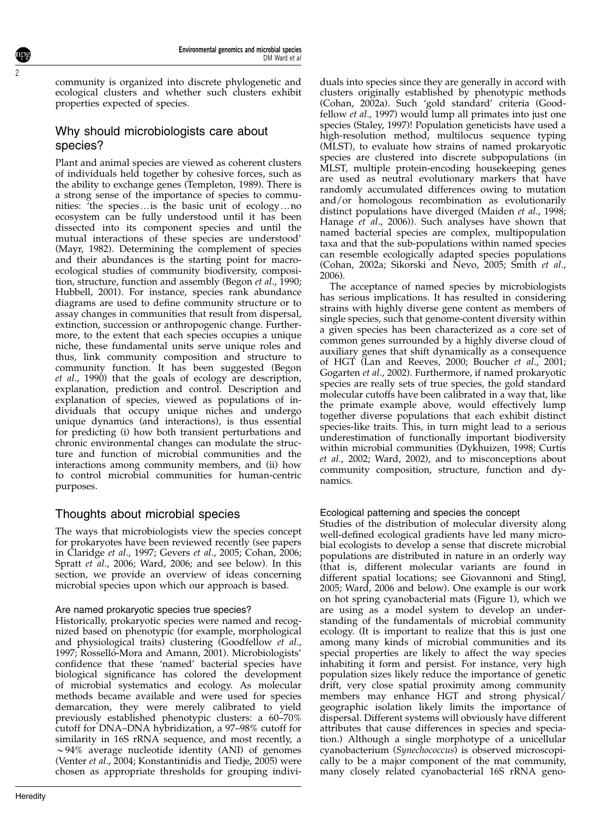community is organized into discrete phylogenetic and ecological clusters and whether such clusters exhibit properties expected of species.

# Why should microbiologists care about species?

Plant and animal species are viewed as coherent clusters of individuals held together by cohesive forces, such as the ability to exchange genes (Templeton, 1989). There is a strong sense of the importance of species to communities: 'the species...is the basic unit of ecology...no ecosystem can be fully understood until it has been dissected into its component species and until the mutual interactions of these species are understood' (Mayr, 1982). Determining the complement of species and their abundances is the starting point for macroecological studies of community biodiversity, composition, structure, function and assembly (Begon et al., 1990; Hubbell, 2001). For instance, species rank abundance diagrams are used to define community structure or to assay changes in communities that result from dispersal, extinction, succession or anthropogenic change. Furthermore, to the extent that each species occupies a unique niche, these fundamental units serve unique roles and thus, link community composition and structure to community function. It has been suggested (Begon et al., 1990) that the goals of ecology are description, explanation, prediction and control. Description and explanation of species, viewed as populations of individuals that occupy unique niches and undergo unique dynamics (and interactions), is thus essential for predicting (i) how both transient perturbations and chronic environmental changes can modulate the structure and function of microbial communities and the interactions among community members, and (ii) how to control microbial communities for human-centric purposes.

# Thoughts about microbial species

The ways that microbiologists view the species concept for prokaryotes have been reviewed recently (see papers in Claridge et al., 1997; Gevers et al., 2005; Cohan, 2006; Spratt et al., 2006; Ward, 2006; and see below). In this section, we provide an overview of ideas concerning microbial species upon which our approach is based.

### Are named prokaryotic species true species?

Historically, prokaryotic species were named and recognized based on phenotypic (for example, morphological and physiological traits) clustering (Goodfellow et al., 1997; Rosselló-Mora and Amann, 2001). Microbiologists' confidence that these 'named' bacterial species have biological significance has colored the development of microbial systematics and ecology. As molecular methods became available and were used for species demarcation, they were merely calibrated to yield previously established phenotypic clusters: a 60–70% cutoff for DNA–DNA hybridization, a 97–98% cutoff for similarity in 16S rRNA sequence, and most recently, a  $\sim$ 94% average nucleotide identity (ANI) of genomes (Venter et al., 2004; Konstantinidis and Tiedje, 2005) were chosen as appropriate thresholds for grouping indivi-

duals into species since they are generally in accord with clusters originally established by phenotypic methods (Cohan, 2002a). Such 'gold standard' criteria (Goodfellow et al., 1997) would lump all primates into just one species (Staley, 1997)! Population geneticists have used a high-resolution method, multilocus sequence typing (MLST), to evaluate how strains of named prokaryotic species are clustered into discrete subpopulations (in MLST, multiple protein-encoding housekeeping genes are used as neutral evolutionary markers that have randomly accumulated differences owing to mutation and/or homologous recombination as evolutionarily distinct populations have diverged (Maiden et al., 1998; Hanage et al., 2006)). Such analyses have shown that named bacterial species are complex, multipopulation taxa and that the sub-populations within named species can resemble ecologically adapted species populations (Cohan, 2002a; Sikorski and Nevo, 2005; Smith et al., 2006).

The acceptance of named species by microbiologists has serious implications. It has resulted in considering strains with highly diverse gene content as members of single species, such that genome-content diversity within a given species has been characterized as a core set of common genes surrounded by a highly diverse cloud of auxiliary genes that shift dynamically as a consequence of HGT (Lan and Reeves, 2000; Boucher et al., 2001; Gogarten et al., 2002). Furthermore, if named prokaryotic species are really sets of true species, the gold standard molecular cutoffs have been calibrated in a way that, like the primate example above, would effectively lump together diverse populations that each exhibit distinct species-like traits. This, in turn might lead to a serious underestimation of functionally important biodiversity within microbial communities (Dykhuizen, 1998; Curtis et al., 2002; Ward, 2002), and to misconceptions about community composition, structure, function and dynamics.

### Ecological patterning and species the concept

Studies of the distribution of molecular diversity along well-defined ecological gradients have led many microbial ecologists to develop a sense that discrete microbial populations are distributed in nature in an orderly way (that is, different molecular variants are found in different spatial locations; see Giovannoni and Stingl, 2005; Ward, 2006 and below). One example is our work on hot spring cyanobacterial mats (Figure 1), which we are using as a model system to develop an understanding of the fundamentals of microbial community ecology. (It is important to realize that this is just one among many kinds of microbial communities and its special properties are likely to affect the way species inhabiting it form and persist. For instance, very high population sizes likely reduce the importance of genetic drift, very close spatial proximity among community members may enhance HGT and strong physical/ geographic isolation likely limits the importance of dispersal. Different systems will obviously have different attributes that cause differences in species and speciation.) Although a single morphotype of a unicellular cyanobacterium (Synechococcus) is observed microscopically to be a major component of the mat community, many closely related cyanobacterial 16S rRNA geno-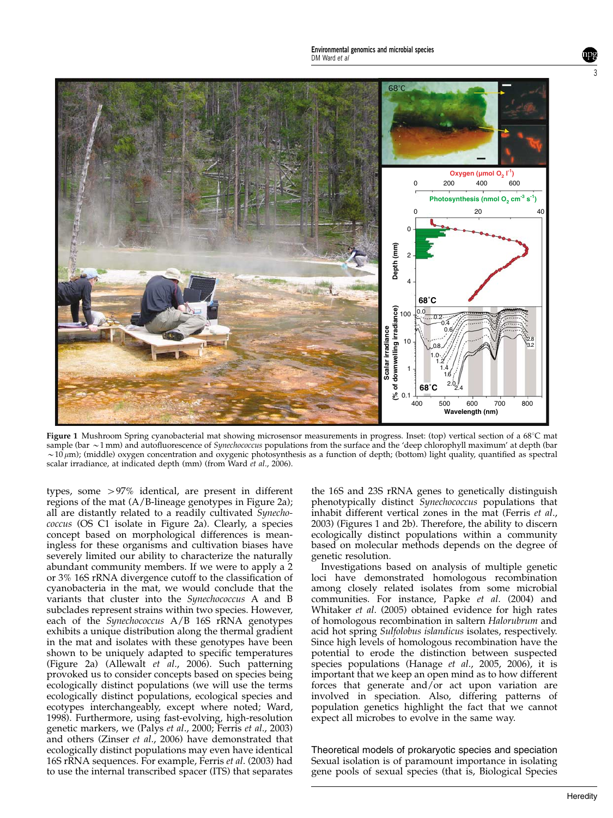

Figure 1 Mushroom Spring cyanobacterial mat showing microsensor measurements in progress. Inset: (top) vertical section of a 68°C mat sample (bar ~1 mm) and autofluorescence of Synechococcus populations from the surface and the 'deep chlorophyll maximum' at depth (bar  $\sim$ 10  $\mu$ m); (middle) oxygen concentration and oxygenic photosynthesis as a function of depth; (bottom) light quality, quantified as spectral scalar irradiance, at indicated depth (mm) (from Ward et al., 2006).

types, some  $>97\%$  identical, are present in different regions of the mat (A/B-lineage genotypes in Figure 2a); all are distantly related to a readily cultivated Synechococcus (OS C1 isolate in Figure 2a). Clearly, a species concept based on morphological differences is meaningless for these organisms and cultivation biases have severely limited our ability to characterize the naturally abundant community members. If we were to apply a 2 or 3% 16S rRNA divergence cutoff to the classification of cyanobacteria in the mat, we would conclude that the variants that cluster into the Synechococcus A and B subclades represent strains within two species. However, each of the Synechococcus A/B 16S rRNA genotypes exhibits a unique distribution along the thermal gradient in the mat and isolates with these genotypes have been shown to be uniquely adapted to specific temperatures (Figure 2a) (Allewalt et al., 2006). Such patterning provoked us to consider concepts based on species being ecologically distinct populations (we will use the terms ecologically distinct populations, ecological species and ecotypes interchangeably, except where noted; Ward, 1998). Furthermore, using fast-evolving, high-resolution genetic markers, we (Palys et al., 2000; Ferris et al., 2003) and others (Zinser et al., 2006) have demonstrated that ecologically distinct populations may even have identical 16S rRNA sequences. For example, Ferris et al. (2003) had to use the internal transcribed spacer (ITS) that separates

the 16S and 23S rRNA genes to genetically distinguish phenotypically distinct Synechococcus populations that inhabit different vertical zones in the mat (Ferris et al., 2003) (Figures 1 and 2b). Therefore, the ability to discern ecologically distinct populations within a community based on molecular methods depends on the degree of genetic resolution.

Investigations based on analysis of multiple genetic loci have demonstrated homologous recombination among closely related isolates from some microbial communities. For instance, Papke et al. (2004) and Whitaker et al. (2005) obtained evidence for high rates of homologous recombination in saltern Halorubrum and acid hot spring Sulfolobus islandicus isolates, respectively. Since high levels of homologous recombination have the potential to erode the distinction between suspected species populations (Hanage et al., 2005, 2006), it is important that we keep an open mind as to how different forces that generate and/or act upon variation are involved in speciation. Also, differing patterns of population genetics highlight the fact that we cannot expect all microbes to evolve in the same way.

Theoretical models of prokaryotic species and speciation Sexual isolation is of paramount importance in isolating gene pools of sexual species (that is, Biological Species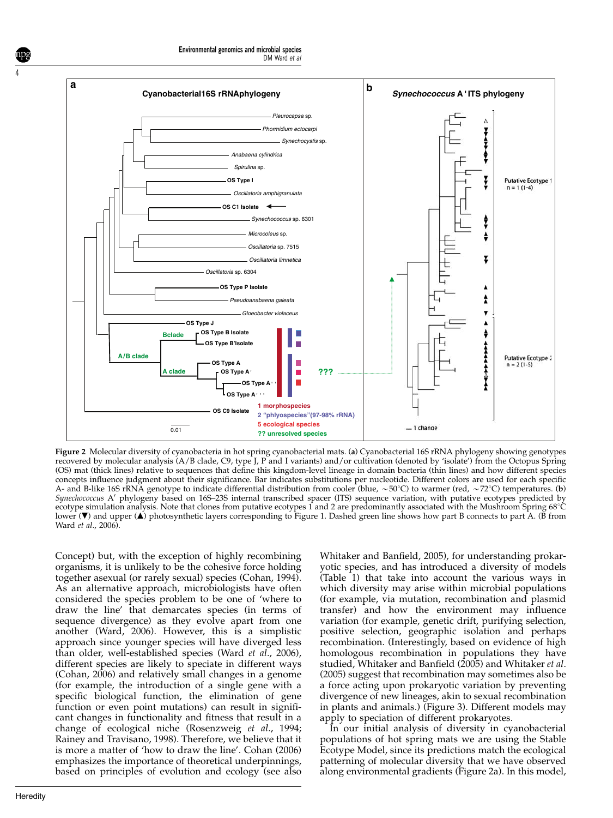Environmental genomics and microbial species DM Ward et al



Figure 2 Molecular diversity of cyanobacteria in hot spring cyanobacterial mats. (a) Cyanobacterial 16S rRNA phylogeny showing genotypes recovered by molecular analysis (A/B clade, C9, type J, P and I variants) and/or cultivation (denoted by 'isolate') from the Octopus Spring (OS) mat (thick lines) relative to sequences that define this kingdom-level lineage in domain bacteria (thin lines) and how different species concepts influence judgment about their significance. Bar indicates substitutions per nucleotide. Different colors are used for each specific A- and B-like 16S rRNA genotype to indicate differential distribution from cooler (blue,  $\sim 50^{\circ}$ C) to warmer (red,  $\sim 72^{\circ}$ C) temperatures. (b) Synechococcus A' phylogeny based on 16S-23S internal transcribed spacer (ITS) sequence variation, with putative ecotypes predicted by ecotype simulation analysis. Note that clones from putative ecotypes 1 and 2 are predominantly associated with the Mushroom Spring 68°C lower ( $\nabla$ ) and upper ( $\triangle$ ) photosynthetic layers corresponding to Figure 1. Dashed green line shows how part B connects to part A. (B from Ward et al., 2006).

Concept) but, with the exception of highly recombining organisms, it is unlikely to be the cohesive force holding together asexual (or rarely sexual) species (Cohan, 1994). As an alternative approach, microbiologists have often considered the species problem to be one of 'where to draw the line' that demarcates species (in terms of sequence divergence) as they evolve apart from one another (Ward, 2006). However, this is a simplistic approach since younger species will have diverged less than older, well-established species (Ward et al., 2006), different species are likely to speciate in different ways (Cohan, 2006) and relatively small changes in a genome (for example, the introduction of a single gene with a specific biological function, the elimination of gene function or even point mutations) can result in significant changes in functionality and fitness that result in a change of ecological niche (Rosenzweig et al., 1994; Rainey and Travisano, 1998). Therefore, we believe that it is more a matter of 'how to draw the line'. Cohan (2006) emphasizes the importance of theoretical underpinnings, based on principles of evolution and ecology (see also

Whitaker and Banfield, 2005), for understanding prokaryotic species, and has introduced a diversity of models (Table 1) that take into account the various ways in which diversity may arise within microbial populations (for example, via mutation, recombination and plasmid transfer) and how the environment may influence variation (for example, genetic drift, purifying selection, positive selection, geographic isolation and perhaps recombination. (Interestingly, based on evidence of high homologous recombination in populations they have studied, Whitaker and Banfield (2005) and Whitaker et al. (2005) suggest that recombination may sometimes also be a force acting upon prokaryotic variation by preventing divergence of new lineages, akin to sexual recombination in plants and animals.) (Figure 3). Different models may apply to speciation of different prokaryotes.

In our initial analysis of diversity in cyanobacterial populations of hot spring mats we are using the Stable Ecotype Model, since its predictions match the ecological patterning of molecular diversity that we have observed along environmental gradients (Figure 2a). In this model,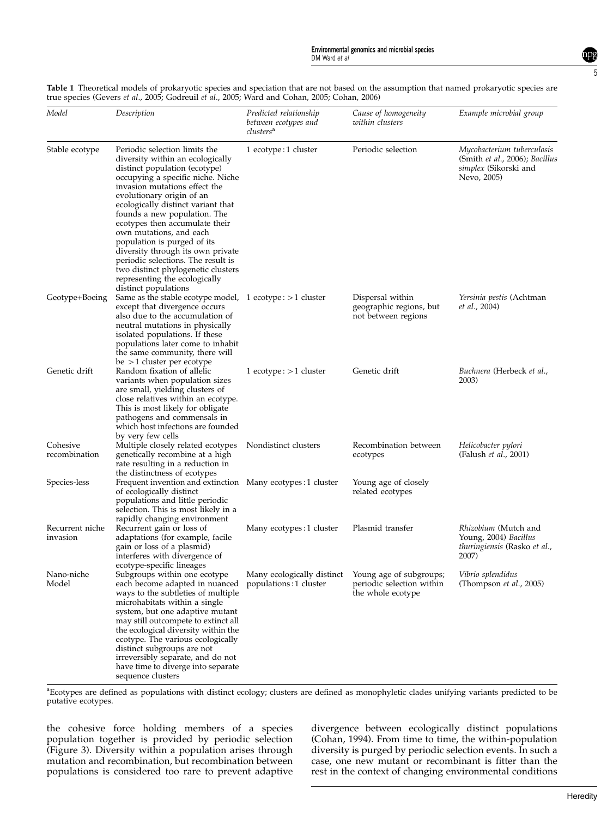Table 1 Theoretical models of prokaryotic species and speciation that are not based on the assumption that named prokaryotic species are true species (Gevers et al., 2005; Godreuil et al., 2005; Ward and Cohan, 2005; Cohan, 2006)

| Model                       | Description                                                                                                                                                                                                                                                                                                                                                                                                                                                                                                                                       | Predicted relationship<br>between ecotypes and<br>clusters <sup>a</sup> | Cause of homogeneity<br>within clusters                                   | Example microbial group                                                                                     |
|-----------------------------|---------------------------------------------------------------------------------------------------------------------------------------------------------------------------------------------------------------------------------------------------------------------------------------------------------------------------------------------------------------------------------------------------------------------------------------------------------------------------------------------------------------------------------------------------|-------------------------------------------------------------------------|---------------------------------------------------------------------------|-------------------------------------------------------------------------------------------------------------|
| Stable ecotype              | Periodic selection limits the<br>diversity within an ecologically<br>distinct population (ecotype)<br>occupying a specific niche. Niche<br>invasion mutations effect the<br>evolutionary origin of an<br>ecologically distinct variant that<br>founds a new population. The<br>ecotypes then accumulate their<br>own mutations, and each<br>population is purged of its<br>diversity through its own private<br>periodic selections. The result is<br>two distinct phylogenetic clusters<br>representing the ecologically<br>distinct populations | 1 ecotype: 1 cluster                                                    | Periodic selection                                                        | Mycobacterium tuberculosis<br>(Smith et al., 2006); Bacillus<br><i>simplex</i> (Sikorski and<br>Nevo, 2005) |
| Geotype+Boeing              | Same as the stable ecotype model, $1$ ecotype: $>1$ cluster<br>except that divergence occurs<br>also due to the accumulation of<br>neutral mutations in physically<br>isolated populations. If these<br>populations later come to inhabit<br>the same community, there will<br>$be > 1$ cluster per ecotype                                                                                                                                                                                                                                       |                                                                         | Dispersal within<br>geographic regions, but<br>not between regions        | <i>Yersinia pestis</i> (Achtman<br><i>et al.</i> , 2004)                                                    |
| Genetic drift               | Random fixation of allelic<br>variants when population sizes<br>are small, yielding clusters of<br>close relatives within an ecotype.<br>This is most likely for obligate<br>pathogens and commensals in<br>which host infections are founded<br>by very few cells                                                                                                                                                                                                                                                                                | $1$ ecotype: $>1$ cluster                                               | Genetic drift                                                             | Buchnera (Herbeck et al.,<br>2003)                                                                          |
| Cohesive<br>recombination   | Multiple closely related ecotypes<br>genetically recombine at a high<br>rate resulting in a reduction in<br>the distinctness of ecotypes                                                                                                                                                                                                                                                                                                                                                                                                          | Nondistinct clusters                                                    | Recombination between<br>ecotypes                                         | Helicobacter pylori<br>(Falush et al., 2001)                                                                |
| Species-less                | Frequent invention and extinction Many ecotypes: 1 cluster<br>of ecologically distinct<br>populations and little periodic<br>selection. This is most likely in a<br>rapidly changing environment                                                                                                                                                                                                                                                                                                                                                  |                                                                         | Young age of closely<br>related ecotypes                                  |                                                                                                             |
| Recurrent niche<br>invasion | Recurrent gain or loss of<br>adaptations (for example, facile<br>gain or loss of a plasmid)<br>interferes with divergence of<br>ecotype-specific lineages                                                                                                                                                                                                                                                                                                                                                                                         | Many ecotypes: 1 cluster                                                | Plasmid transfer                                                          | Rhizobium (Mutch and<br>Young, 2004) Bacillus<br><i>thuringiensis</i> (Rasko et al.,<br>2007)               |
| Nano-niche<br>Model         | Subgroups within one ecotype<br>each become adapted in nuanced<br>ways to the subtleties of multiple<br>microhabitats within a single<br>system, but one adaptive mutant<br>may still outcompete to extinct all<br>the ecological diversity within the<br>ecotype. The various ecologically<br>distinct subgroups are not<br>irreversibly separate, and do not<br>have time to diverge into separate<br>sequence clusters                                                                                                                         | Many ecologically distinct<br>populations: 1 cluster                    | Young age of subgroups;<br>periodic selection within<br>the whole ecotype | Vibrio splendidus<br>(Thompson et al., 2005)                                                                |

<sup>a</sup>Ecotypes are defined as populations with distinct ecology; clusters are defined as monophyletic clades unifying variants predicted to be putative ecotypes.

the cohesive force holding members of a species population together is provided by periodic selection (Figure 3). Diversity within a population arises through mutation and recombination, but recombination between populations is considered too rare to prevent adaptive divergence between ecologically distinct populations (Cohan, 1994). From time to time, the within-population diversity is purged by periodic selection events. In such a case, one new mutant or recombinant is fitter than the rest in the context of changing environmental conditions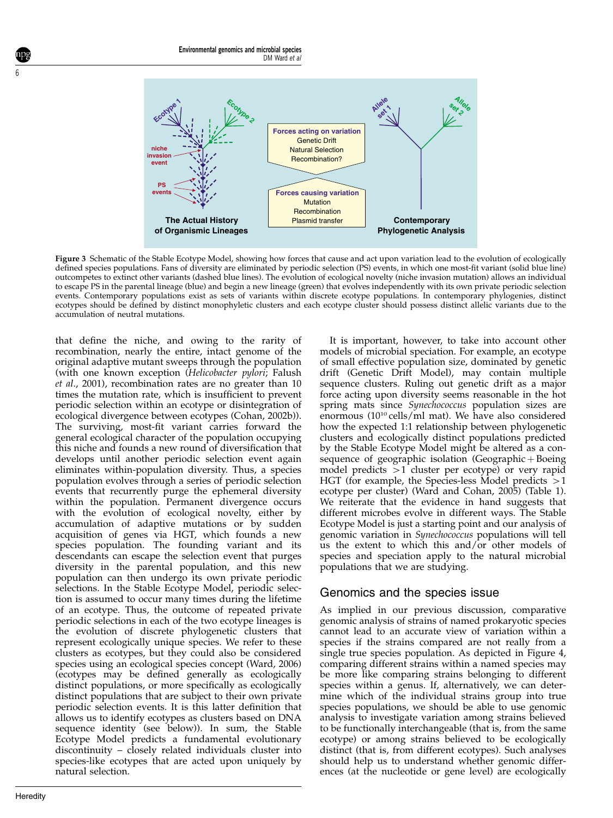

Figure 3 Schematic of the Stable Ecotype Model, showing how forces that cause and act upon variation lead to the evolution of ecologically defined species populations. Fans of diversity are eliminated by periodic selection (PS) events, in which one most-fit variant (solid blue line) outcompetes to extinct other variants (dashed blue lines). The evolution of ecological novelty (niche invasion mutation) allows an individual to escape PS in the parental lineage (blue) and begin a new lineage (green) that evolves independently with its own private periodic selection events. Contemporary populations exist as sets of variants within discrete ecotype populations. In contemporary phylogenies, distinct ecotypes should be defined by distinct monophyletic clusters and each ecotype cluster should possess distinct allelic variants due to the accumulation of neutral mutations.

that define the niche, and owing to the rarity of recombination, nearly the entire, intact genome of the original adaptive mutant sweeps through the population (with one known exception (Helicobacter pylori; Falush et al., 2001), recombination rates are no greater than 10 times the mutation rate, which is insufficient to prevent periodic selection within an ecotype or disintegration of ecological divergence between ecotypes (Cohan, 2002b)). The surviving, most-fit variant carries forward the general ecological character of the population occupying this niche and founds a new round of diversification that develops until another periodic selection event again eliminates within-population diversity. Thus, a species population evolves through a series of periodic selection events that recurrently purge the ephemeral diversity within the population. Permanent divergence occurs with the evolution of ecological novelty, either by accumulation of adaptive mutations or by sudden acquisition of genes via HGT, which founds a new species population. The founding variant and its descendants can escape the selection event that purges diversity in the parental population, and this new population can then undergo its own private periodic selections. In the Stable Ecotype Model, periodic selection is assumed to occur many times during the lifetime of an ecotype. Thus, the outcome of repeated private periodic selections in each of the two ecotype lineages is the evolution of discrete phylogenetic clusters that represent ecologically unique species. We refer to these clusters as ecotypes, but they could also be considered species using an ecological species concept (Ward, 2006) (ecotypes may be defined generally as ecologically distinct populations, or more specifically as ecologically distinct populations that are subject to their own private periodic selection events. It is this latter definition that allows us to identify ecotypes as clusters based on DNA sequence identity (see below)). In sum, the Stable Ecotype Model predicts a fundamental evolutionary discontinuity – closely related individuals cluster into species-like ecotypes that are acted upon uniquely by natural selection.

It is important, however, to take into account other models of microbial speciation. For example, an ecotype of small effective population size, dominated by genetic drift (Genetic Drift Model), may contain multiple sequence clusters. Ruling out genetic drift as a major force acting upon diversity seems reasonable in the hot spring mats since Synechococcus population sizes are enormous (1010 cells/ml mat). We have also considered how the expected 1:1 relationship between phylogenetic clusters and ecologically distinct populations predicted by the Stable Ecotype Model might be altered as a consequence of geographic isolation (Geographic  $+$  Boeing model predicts  $>1$  cluster per ecotype) or very rapid HGT (for example, the Species-less Model predicts  $>1$ ecotype per cluster) (Ward and Cohan, 2005) (Table 1). We reiterate that the evidence in hand suggests that different microbes evolve in different ways. The Stable Ecotype Model is just a starting point and our analysis of genomic variation in Synechococcus populations will tell us the extent to which this and/or other models of species and speciation apply to the natural microbial populations that we are studying.

## Genomics and the species issue

As implied in our previous discussion, comparative genomic analysis of strains of named prokaryotic species cannot lead to an accurate view of variation within a species if the strains compared are not really from a single true species population. As depicted in Figure 4, comparing different strains within a named species may be more like comparing strains belonging to different species within a genus. If, alternatively, we can determine which of the individual strains group into true species populations, we should be able to use genomic analysis to investigate variation among strains believed to be functionally interchangeable (that is, from the same ecotype) or among strains believed to be ecologically distinct (that is, from different ecotypes). Such analyses should help us to understand whether genomic differences (at the nucleotide or gene level) are ecologically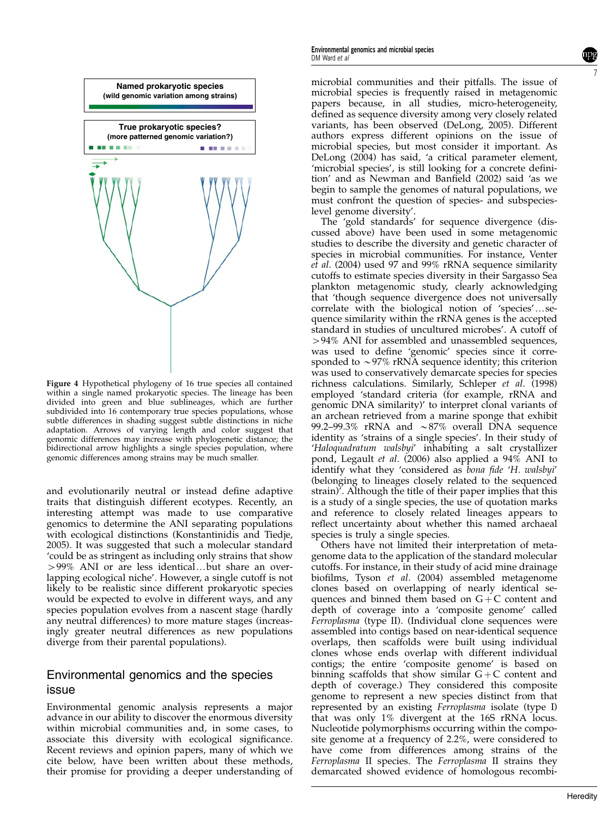

Figure 4 Hypothetical phylogeny of 16 true species all contained within a single named prokaryotic species. The lineage has been divided into green and blue sublineages, which are further subdivided into 16 contemporary true species populations, whose subtle differences in shading suggest subtle distinctions in niche adaptation. Arrows of varying length and color suggest that genomic differences may increase with phylogenetic distance; the bidirectional arrow highlights a single species population, where genomic differences among strains may be much smaller.

and evolutionarily neutral or instead define adaptive traits that distinguish different ecotypes. Recently, an interesting attempt was made to use comparative genomics to determine the ANI separating populations with ecological distinctions (Konstantinidis and Tiedje, 2005). It was suggested that such a molecular standard 'could be as stringent as including only strains that show  $>99\%$  ANI or are less identical...but share an overlapping ecological niche'. However, a single cutoff is not likely to be realistic since different prokaryotic species would be expected to evolve in different ways, and any species population evolves from a nascent stage (hardly any neutral differences) to more mature stages (increasingly greater neutral differences as new populations diverge from their parental populations).

# Environmental genomics and the species issue

Environmental genomic analysis represents a major advance in our ability to discover the enormous diversity within microbial communities and, in some cases, to associate this diversity with ecological significance. Recent reviews and opinion papers, many of which we cite below, have been written about these methods, their promise for providing a deeper understanding of

microbial communities and their pitfalls. The issue of microbial species is frequently raised in metagenomic papers because, in all studies, micro-heterogeneity, defined as sequence diversity among very closely related variants, has been observed (DeLong, 2005). Different authors express different opinions on the issue of microbial species, but most consider it important. As DeLong (2004) has said, 'a critical parameter element, 'microbial species', is still looking for a concrete definition' and as Newman and Banfield (2002) said 'as we begin to sample the genomes of natural populations, we must confront the question of species- and subspecieslevel genome diversity'.

The 'gold standards' for sequence divergence (discussed above) have been used in some metagenomic studies to describe the diversity and genetic character of species in microbial communities. For instance, Venter  $e\bar{t}$  al. (2004) used 97 and 99% rRNA sequence similarity cutoffs to estimate species diversity in their Sargasso Sea plankton metagenomic study, clearly acknowledging that 'though sequence divergence does not universally correlate with the biological notion of 'species'...sequence similarity within the rRNA genes is the accepted standard in studies of uncultured microbes'. A cutoff of  $>94\%$  ANI for assembled and unassembled sequences, was used to define 'genomic' species since it corresponded to  $\sim$ 97% rRNA sequence identity; this criterion was used to conservatively demarcate species for species richness calculations. Similarly, Schleper et al. (1998) employed 'standard criteria (for example, rRNA and genomic DNA similarity)' to interpret clonal variants of an archean retrieved from a marine sponge that exhibit 99.2–99.3% rRNA and  $\sim 87\%$  overall DNA sequence identity as 'strains of a single species'. In their study of 'Haloquadratum walsbyi' inhabiting a salt crystallizer pond, Legault et al. (2006) also applied a 94% ANI to identify what they 'considered as bona fide 'H. walsbyi' (belonging to lineages closely related to the sequenced strain)'. Although the title of their paper implies that this is a study of a single species, the use of quotation marks and reference to closely related lineages appears to reflect uncertainty about whether this named archaeal species is truly a single species.

Others have not limited their interpretation of metagenome data to the application of the standard molecular cutoffs. For instance, in their study of acid mine drainage biofilms, Tyson et al. (2004) assembled metagenome clones based on overlapping of nearly identical sequences and binned them based on  $G + C$  content and depth of coverage into a 'composite genome' called Ferroplasma (type II). (Individual clone sequences were assembled into contigs based on near-identical sequence overlaps, then scaffolds were built using individual clones whose ends overlap with different individual contigs; the entire 'composite genome' is based on binning scaffolds that show similar  $G+C$  content and depth of coverage.) They considered this composite genome to represent a new species distinct from that represented by an existing Ferroplasma isolate (type I) that was only 1% divergent at the 16S rRNA locus. Nucleotide polymorphisms occurring within the composite genome at a frequency of 2.2%, were considered to have come from differences among strains of the Ferroplasma II species. The Ferroplasma II strains they demarcated showed evidence of homologous recombi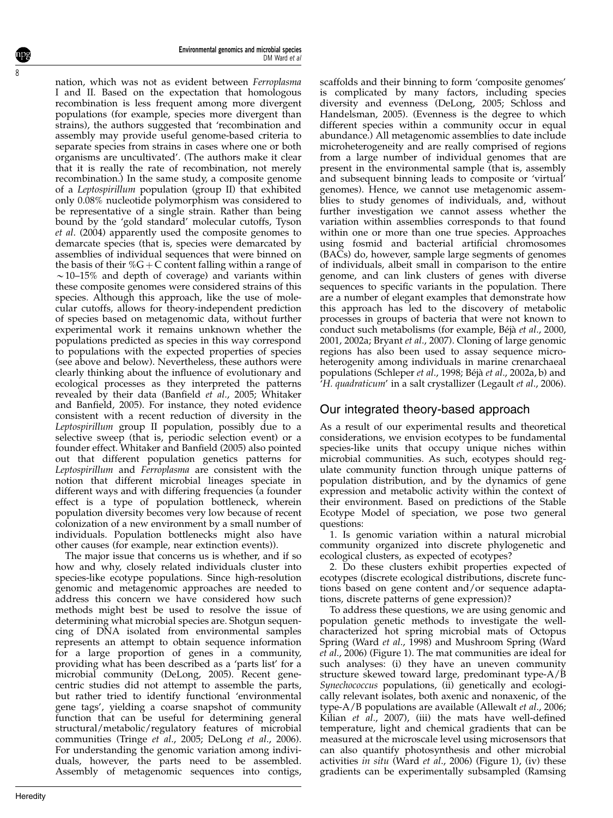nation, which was not as evident between Ferroplasma I and II. Based on the expectation that homologous recombination is less frequent among more divergent populations (for example, species more divergent than strains), the authors suggested that 'recombination and assembly may provide useful genome-based criteria to separate species from strains in cases where one or both organisms are uncultivated'. (The authors make it clear that it is really the rate of recombination, not merely recombination.) In the same study, a composite genome of a Leptospirillum population (group II) that exhibited only 0.08% nucleotide polymorphism was considered to be representative of a single strain. Rather than being bound by the 'gold standard' molecular cutoffs, Tyson et al. (2004) apparently used the composite genomes to demarcate species (that is, species were demarcated by assemblies of individual sequences that were binned on the basis of their  $%G + C$  content falling within a range of  $\sim$ 10–15% and depth of coverage) and variants within these composite genomes were considered strains of this species. Although this approach, like the use of molecular cutoffs, allows for theory-independent prediction of species based on metagenomic data, without further experimental work it remains unknown whether the populations predicted as species in this way correspond to populations with the expected properties of species (see above and below). Nevertheless, these authors were clearly thinking about the influence of evolutionary and ecological processes as they interpreted the patterns revealed by their data (Banfield et al., 2005; Whitaker and Banfield, 2005). For instance, they noted evidence consistent with a recent reduction of diversity in the Leptospirillum group II population, possibly due to a selective sweep (that is, periodic selection event) or a founder effect. Whitaker and Banfield (2005) also pointed out that different population genetics patterns for Leptospirillum and Ferroplasma are consistent with the notion that different microbial lineages speciate in different ways and with differing frequencies (a founder effect is a type of population bottleneck, wherein population diversity becomes very low because of recent colonization of a new environment by a small number of individuals. Population bottlenecks might also have other causes (for example, near extinction events)).

The major issue that concerns us is whether, and if so how and why, closely related individuals cluster into species-like ecotype populations. Since high-resolution genomic and metagenomic approaches are needed to address this concern we have considered how such methods might best be used to resolve the issue of determining what microbial species are. Shotgun sequencing of DNA isolated from environmental samples represents an attempt to obtain sequence information for a large proportion of genes in a community, providing what has been described as a 'parts list' for a microbial community (DeLong, 2005). Recent genecentric studies did not attempt to assemble the parts, but rather tried to identify functional 'environmental gene tags', yielding a coarse snapshot of community function that can be useful for determining general structural/metabolic/regulatory features of microbial communities (Tringe et al., 2005; DeLong et al., 2006). For understanding the genomic variation among individuals, however, the parts need to be assembled. Assembly of metagenomic sequences into contigs,

scaffolds and their binning to form 'composite genomes' is complicated by many factors, including species diversity and evenness (DeLong, 2005; Schloss and Handelsman, 2005). (Evenness is the degree to which different species within a community occur in equal abundance.) All metagenomic assemblies to date include microheterogeneity and are really comprised of regions from a large number of individual genomes that are present in the environmental sample (that is, assembly and subsequent binning leads to composite or 'virtual' genomes). Hence, we cannot use metagenomic assemblies to study genomes of individuals, and, without further investigation we cannot assess whether the variation within assemblies corresponds to that found within one or more than one true species. Approaches using fosmid and bacterial artificial chromosomes (BACs) do, however, sample large segments of genomes of individuals, albeit small in comparison to the entire genome, and can link clusters of genes with diverse sequences to specific variants in the population. There are a number of elegant examples that demonstrate how this approach has led to the discovery of metabolic processes in groups of bacteria that were not known to conduct such metabolisms (for example, Béjà et al., 2000, 2001, 2002a; Bryant et al., 2007). Cloning of large genomic regions has also been used to assay sequence microheterogenity among individuals in marine crenarchaeal populations (Schleper et al., 1998; Béjà et al., 2002a, b) and 'H. quadraticum' in a salt crystallizer (Legault et al., 2006).

# Our integrated theory-based approach

As a result of our experimental results and theoretical considerations, we envision ecotypes to be fundamental species-like units that occupy unique niches within microbial communities. As such, ecotypes should regulate community function through unique patterns of population distribution, and by the dynamics of gene expression and metabolic activity within the context of their environment. Based on predictions of the Stable Ecotype Model of speciation, we pose two general questions:

1. Is genomic variation within a natural microbial community organized into discrete phylogenetic and ecological clusters, as expected of ecotypes?

2. Do these clusters exhibit properties expected of ecotypes (discrete ecological distributions, discrete functions based on gene content and/or sequence adaptations, discrete patterns of gene expression)?

To address these questions, we are using genomic and population genetic methods to investigate the wellcharacterized hot spring microbial mats of Octopus Spring (Ward et al., 1998) and Mushroom Spring (Ward et al., 2006) (Figure 1). The mat communities are ideal for such analyses: (i) they have an uneven community structure skewed toward large, predominant type-A/B Synechococcus populations, (ii) genetically and ecologically relevant isolates, both axenic and nonaxenic, of the type-A/B populations are available (Allewalt et al., 2006; Kilian  $et$   $al., 2007$ ), (iii) the mats have well-defined temperature, light and chemical gradients that can be measured at the microscale level using microsensors that can also quantify photosynthesis and other microbial activities in situ (Ward et al., 2006) (Figure 1), (iv) these gradients can be experimentally subsampled (Ramsing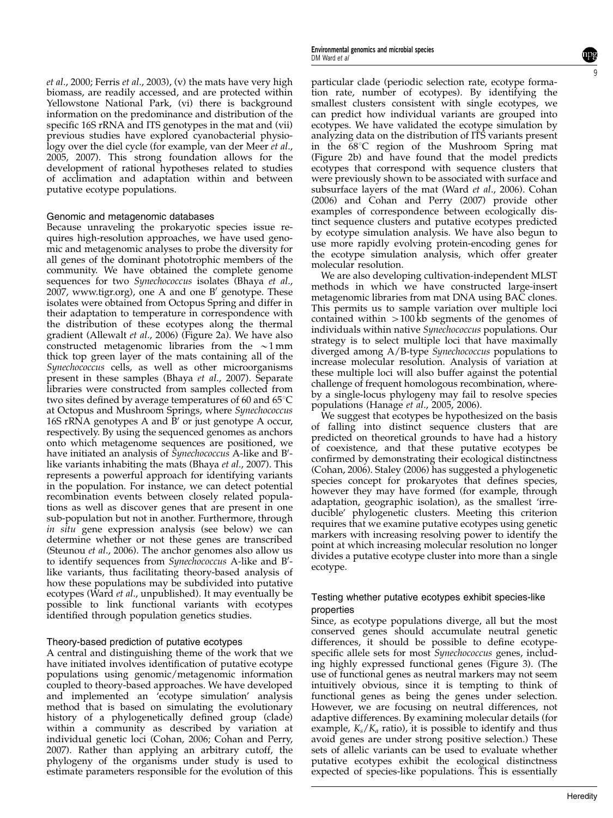et al., 2000; Ferris et al., 2003), (v) the mats have very high biomass, are readily accessed, and are protected within Yellowstone National Park, (vi) there is background information on the predominance and distribution of the specific 16S rRNA and ITS genotypes in the mat and (vii) previous studies have explored cyanobacterial physiology over the diel cycle (for example, van der Meer *et al.*, 2005, 2007). This strong foundation allows for the development of rational hypotheses related to studies of acclimation and adaptation within and between putative ecotype populations.

#### Genomic and metagenomic databases

Because unraveling the prokaryotic species issue requires high-resolution approaches, we have used genomic and metagenomic analyses to probe the diversity for all genes of the dominant phototrophic members of the community. We have obtained the complete genome sequences for two *Synechococcus* isolates (Bhaya et al.,  $2007$ , www.tigr.org), one A and one B' genotype. These isolates were obtained from Octopus Spring and differ in their adaptation to temperature in correspondence with the distribution of these ecotypes along the thermal gradient (Allewalt et al., 2006) (Figure 2a). We have also constructed metagenomic libraries from the  $\sim$ 1 mm thick top green layer of the mats containing all of the Synechococcus cells, as well as other microorganisms present in these samples (Bhaya et al., 2007). Separate libraries were constructed from samples collected from two sites defined by average temperatures of 60 and  $65^{\circ}$ C at Octopus and Mushroom Springs, where Synechococcus 16S  $rRNA$  genotypes A and B' or just genotype A occur, respectively. By using the sequenced genomes as anchors onto which metagenome sequences are positioned, we have initiated an analysis of Synechococcus A-like and B'like variants inhabiting the mats (Bhaya et al., 2007). This represents a powerful approach for identifying variants in the population. For instance, we can detect potential recombination events between closely related populations as well as discover genes that are present in one sub-population but not in another. Furthermore, through in situ gene expression analysis (see below) we can determine whether or not these genes are transcribed (Steunou et al., 2006). The anchor genomes also allow us to identify sequences from Synechococcus A-like and B'like variants, thus facilitating theory-based analysis of how these populations may be subdivided into putative ecotypes (Ward et al., unpublished). It may eventually be possible to link functional variants with ecotypes identified through population genetics studies.

#### Theory-based prediction of putative ecotypes

A central and distinguishing theme of the work that we have initiated involves identification of putative ecotype populations using genomic/metagenomic information coupled to theory-based approaches. We have developed and implemented an 'ecotype simulation' analysis method that is based on simulating the evolutionary history of a phylogenetically defined group (clade) within a community as described by variation at individual genetic loci (Cohan, 2006; Cohan and Perry, 2007). Rather than applying an arbitrary cutoff, the phylogeny of the organisms under study is used to estimate parameters responsible for the evolution of this

particular clade (periodic selection rate, ecotype formation rate, number of ecotypes). By identifying the smallest clusters consistent with single ecotypes, we can predict how individual variants are grouped into ecotypes. We have validated the ecotype simulation by analyzing data on the distribution of ITS variants present in the  $68^{\circ}$ C region of the Mushroom Spring mat (Figure 2b) and have found that the model predicts ecotypes that correspond with sequence clusters that were previously shown to be associated with surface and subsurface layers of the mat (Ward et al., 2006). Cohan (2006) and Cohan and Perry (2007) provide other examples of correspondence between ecologically distinct sequence clusters and putative ecotypes predicted by ecotype simulation analysis. We have also begun to use more rapidly evolving protein-encoding genes for the ecotype simulation analysis, which offer greater molecular resolution.

We are also developing cultivation-independent MLST methods in which we have constructed large-insert metagenomic libraries from mat DNA using BAC clones. This permits us to sample variation over multiple loci contained within  $>100$  kb segments of the genomes of individuals within native Synechococcus populations. Our strategy is to select multiple loci that have maximally diverged among A/B-type Synechococcus populations to increase molecular resolution. Analysis of variation at these multiple loci will also buffer against the potential challenge of frequent homologous recombination, whereby a single-locus phylogeny may fail to resolve species populations (Hanage et al., 2005, 2006).

We suggest that ecotypes be hypothesized on the basis of falling into distinct sequence clusters that are predicted on theoretical grounds to have had a history of coexistence, and that these putative ecotypes be confirmed by demonstrating their ecological distinctness (Cohan, 2006). Staley (2006) has suggested a phylogenetic species concept for prokaryotes that defines species, however they may have formed (for example, through adaptation, geographic isolation), as the smallest 'irreducible' phylogenetic clusters. Meeting this criterion requires that we examine putative ecotypes using genetic markers with increasing resolving power to identify the point at which increasing molecular resolution no longer divides a putative ecotype cluster into more than a single ecotype.

#### Testing whether putative ecotypes exhibit species-like properties

Since, as ecotype populations diverge, all but the most conserved genes should accumulate neutral genetic differences, it should be possible to define ecotypespecific allele sets for most Synechococcus genes, including highly expressed functional genes (Figure 3). (The use of functional genes as neutral markers may not seem intuitively obvious, since it is tempting to think of functional genes as being the genes under selection. However, we are focusing on neutral differences, not adaptive differences. By examining molecular details (for example,  $K_s/K_a$  ratio), it is possible to identify and thus avoid genes are under strong positive selection.) These sets of allelic variants can be used to evaluate whether putative ecotypes exhibit the ecological distinctness expected of species-like populations. This is essentially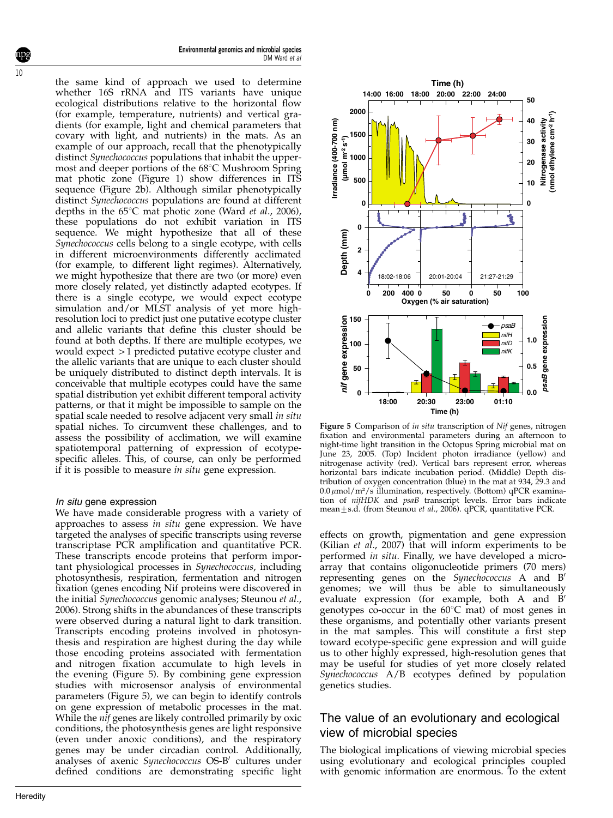the same kind of approach we used to determine whether 16S rRNA and ITS variants have unique ecological distributions relative to the horizontal flow (for example, temperature, nutrients) and vertical gradients (for example, light and chemical parameters that covary with light, and nutrients) in the mats. As an example of our approach, recall that the phenotypically distinct Synechococcus populations that inhabit the uppermost and deeper portions of the  $68^{\circ}$ C Mushroom Spring mat photic zone (Figure 1) show differences in ITS sequence (Figure 2b). Although similar phenotypically distinct Synechococcus populations are found at different depths in the  $65^{\circ}$ C mat photic zone (Ward *et al.*, 2006), these populations do not exhibit variation in ITS sequence. We might hypothesize that all of these Synechococcus cells belong to a single ecotype, with cells in different microenvironments differently acclimated (for example, to different light regimes). Alternatively, we might hypothesize that there are two (or more) even more closely related, yet distinctly adapted ecotypes. If there is a single ecotype, we would expect ecotype simulation and/or MLST analysis of yet more highresolution loci to predict just one putative ecotype cluster and allelic variants that define this cluster should be found at both depths. If there are multiple ecotypes, we would expect  $>1$  predicted putative ecotype cluster and the allelic variants that are unique to each cluster should be uniquely distributed to distinct depth intervals. It is conceivable that multiple ecotypes could have the same spatial distribution yet exhibit different temporal activity patterns, or that it might be impossible to sample on the spatial scale needed to resolve adjacent very small in situ spatial niches. To circumvent these challenges, and to assess the possibility of acclimation, we will examine spatiotemporal patterning of expression of ecotypespecific alleles. This, of course, can only be performed if it is possible to measure in situ gene expression.

#### In situ gene expression

We have made considerable progress with a variety of approaches to assess in situ gene expression. We have targeted the analyses of specific transcripts using reverse transcriptase PCR amplification and quantitative PCR. These transcripts encode proteins that perform important physiological processes in Synechococcus, including photosynthesis, respiration, fermentation and nitrogen fixation (genes encoding Nif proteins were discovered in the initial Synechococcus genomic analyses; Steunou et al., 2006). Strong shifts in the abundances of these transcripts were observed during a natural light to dark transition. Transcripts encoding proteins involved in photosynthesis and respiration are highest during the day while those encoding proteins associated with fermentation and nitrogen fixation accumulate to high levels in the evening (Figure 5). By combining gene expression studies with microsensor analysis of environmental parameters (Figure 5), we can begin to identify controls on gene expression of metabolic processes in the mat. While the *nif* genes are likely controlled primarily by oxic conditions, the photosynthesis genes are light responsive (even under anoxic conditions), and the respiratory genes may be under circadian control. Additionally, analyses of axenic Synechococcus OS-B' cultures under defined conditions are demonstrating specific light



Figure 5 Comparison of *in situ* transcription of *Nif* genes, nitrogen fixation and environmental parameters during an afternoon to night-time light transition in the Octopus Spring microbial mat on June 23, 2005. (Top) Incident photon irradiance (yellow) and nitrogenase activity (red). Vertical bars represent error, whereas horizontal bars indicate incubation period. (Middle) Depth distribution of oxygen concentration (blue) in the mat at 934, 29.3 and  $0.0 \,\mu$ mol/m<sup>2</sup>/s illumination, respectively. (Bottom) qPCR examination of nifHDK and psaB transcript levels. Error bars indicate mean $\pm$ s.d. (from Steunou et al., 2006). qPCR, quantitative PCR.

effects on growth, pigmentation and gene expression (Kilian et al., 2007) that will inform experiments to be performed in situ. Finally, we have developed a microarray that contains oligonucleotide primers (70 mers) representing genes on the Synechococcus A and B' genomes; we will thus be able to simultaneously evaluate expression (for example, both  $A$  and  $B'$ genotypes co-occur in the  $60^{\circ}$ C mat) of most genes in these organisms, and potentially other variants present in the mat samples. This will constitute a first step toward ecotype-specific gene expression and will guide us to other highly expressed, high-resolution genes that may be useful for studies of yet more closely related Synechococcus A/B ecotypes defined by population genetics studies.

# The value of an evolutionary and ecological view of microbial species

The biological implications of viewing microbial species using evolutionary and ecological principles coupled with genomic information are enormous. To the extent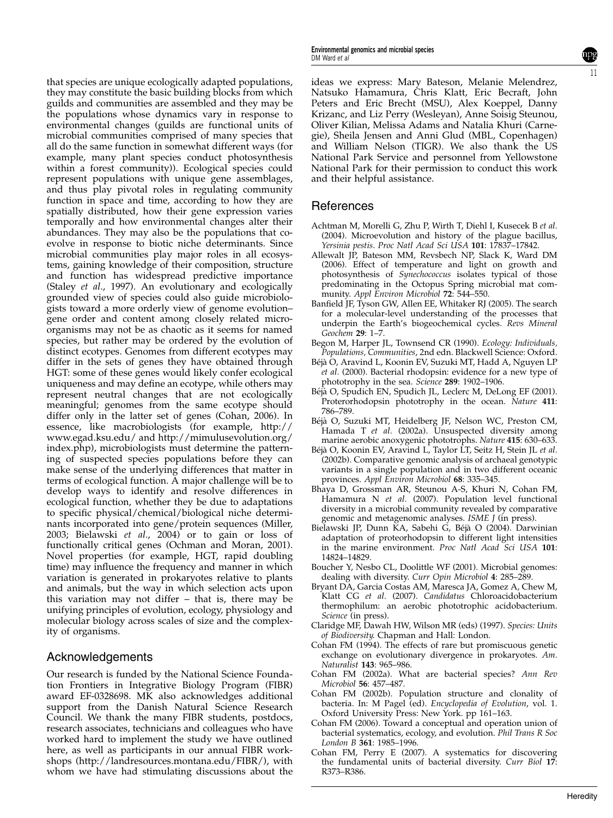that species are unique ecologically adapted populations, they may constitute the basic building blocks from which guilds and communities are assembled and they may be the populations whose dynamics vary in response to environmental changes (guilds are functional units of microbial communities comprised of many species that all do the same function in somewhat different ways (for example, many plant species conduct photosynthesis within a forest community)). Ecological species could represent populations with unique gene assemblages, and thus play pivotal roles in regulating community function in space and time, according to how they are spatially distributed, how their gene expression varies temporally and how environmental changes alter their abundances. They may also be the populations that coevolve in response to biotic niche determinants. Since microbial communities play major roles in all ecosystems, gaining knowledge of their composition, structure and function has widespread predictive importance (Staley et al., 1997). An evolutionary and ecologically grounded view of species could also guide microbiologists toward a more orderly view of genome evolution– gene order and content among closely related microorganisms may not be as chaotic as it seems for named species, but rather may be ordered by the evolution of distinct ecotypes. Genomes from different ecotypes may differ in the sets of genes they have obtained through HGT: some of these genes would likely confer ecological uniqueness and may define an ecotype, while others may represent neutral changes that are not ecologically meaningful; genomes from the same ecotype should differ only in the latter set of genes (Cohan, 2006). In essence, like macrobiologists (for example, http:// www.egad.ksu.edu/ and http://mimulusevolution.org/ index.php), microbiologists must determine the patterning of suspected species populations before they can make sense of the underlying differences that matter in terms of ecological function. A major challenge will be to develop ways to identify and resolve differences in ecological function, whether they be due to adaptations to specific physical/chemical/biological niche determinants incorporated into gene/protein sequences (Miller, 2003; Bielawski et al., 2004) or to gain or loss of functionally critical genes (Ochman and Moran, 2001). Novel properties (for example, HGT, rapid doubling time) may influence the frequency and manner in which variation is generated in prokaryotes relative to plants and animals, but the way in which selection acts upon this variation may not differ – that is, there may be unifying principles of evolution, ecology, physiology and molecular biology across scales of size and the complexity of organisms.

### Acknowledgements

Our research is funded by the National Science Foundation Frontiers in Integrative Biology Program (FIBR) award EF-0328698. MK also acknowledges additional support from the Danish Natural Science Research Council. We thank the many FIBR students, postdocs, research associates, technicians and colleagues who have worked hard to implement the study we have outlined here, as well as participants in our annual FIBR workshops (http://landresources.montana.edu/FIBR/), with whom we have had stimulating discussions about the ideas we express: Mary Bateson, Melanie Melendrez, Natsuko Hamamura, Chris Klatt, Eric Becraft, John Peters and Eric Brecht (MSU), Alex Koeppel, Danny Krizanc, and Liz Perry (Wesleyan), Anne Soisig Steunou, Oliver Kilian, Melissa Adams and Natalia Khuri (Carnegie), Sheila Jensen and Anni Glud (MBL, Copenhagen) and William Nelson (TIGR). We also thank the US National Park Service and personnel from Yellowstone National Park for their permission to conduct this work and their helpful assistance.

#### References

- Achtman M, Morelli G, Zhu P, Wirth T, Diehl I, Kusecek B et al. (2004). Microevolution and history of the plague bacillus, Yersinia pestis. Proc Natl Acad Sci USA 101: 17837–17842.
- Allewalt JP, Bateson MM, Revsbech NP, Slack K, Ward DM (2006). Effect of temperature and light on growth and photosynthesis of Synechococcus isolates typical of those predominating in the Octopus Spring microbial mat community. Appl Environ Microbiol 72: 544-550.
- Banfield JF, Tyson GW, Allen EE, Whitaker RJ (2005). The search for a molecular-level understanding of the processes that underpin the Earth's biogeochemical cycles. Revs Mineral Geochem 29: 1–7.
- Begon M, Harper JL, Townsend CR (1990). Ecology: Individuals, Populations, Communities, 2nd edn. Blackwell Science: Oxford.
- Béjà O, Aravind L, Koonin EV, Suzuki MT, Hadd A, Nguyen LP et al. (2000). Bacterial rhodopsin: evidence for a new type of phototrophy in the sea. Science 289: 1902–1906.
- Béjà O, Spudich EN, Spudich JL, Leclerc M, DeLong EF (2001). Proterorhodopsin phototrophy in the ocean. Nature 411: 786–789.
- Béjà O, Suzuki MT, Heidelberg JF, Nelson WC, Preston CM, Hamada T et al. (2002a). Unsuspected diversity among marine aerobic anoxygenic phototrophs. Nature 415: 630–633.
- Béjà O, Koonin EV, Aravind L, Taylor LT, Seitz H, Stein JL et al. (2002b). Comparative genomic analysis of archaeal genotypic variants in a single population and in two different oceanic provinces. Appl Environ Microbiol 68: 335–345.
- Bhaya D, Grossman AR, Steunou A-S, Khuri N, Cohan FM, Hamamura N et al. (2007). Population level functional diversity in a microbial community revealed by comparative genomic and metagenomic analyses. ISME J (in press).
- Bielawski JP, Dunn KA, Sabehi G, Béjà O (2004). Darwinian adaptation of proteorhodopsin to different light intensities in the marine environment. Proc Natl Acad Sci USA 101: 14824–14829.
- Boucher Y, Nesbo CL, Doolittle WF (2001). Microbial genomes: dealing with diversity. Curr Opin Microbiol 4: 285–289.
- Bryant DA, Garcia Costas AM, Maresca JA, Gomez A, Chew M, Klatt CG et al. (2007). Candidatus Chloroacidobacterium thermophilum: an aerobic phototrophic acidobacterium. Science (in press).
- Claridge MF, Dawah HW, Wilson MR (eds) (1997). Species: Units of Biodiversity. Chapman and Hall: London.
- Cohan FM (1994). The effects of rare but promiscuous genetic exchange on evolutionary divergence in prokaryotes. Am. Naturalist 143: 965–986.
- Cohan FM (2002a). What are bacterial species? Ann Rev Microbiol 56: 457–487.
- Cohan FM (2002b). Population structure and clonality of bacteria. In: M Pagel (ed). Encyclopedia of Evolution, vol. 1. Oxford University Press: New York. pp 161–163.
- Cohan FM (2006). Toward a conceptual and operation union of bacterial systematics, ecology, and evolution. Phil Trans R Soc London B 361: 1985–1996.
- Cohan FM, Perry E (2007). A systematics for discovering the fundamental units of bacterial diversity. Curr Biol 17: R373–R386.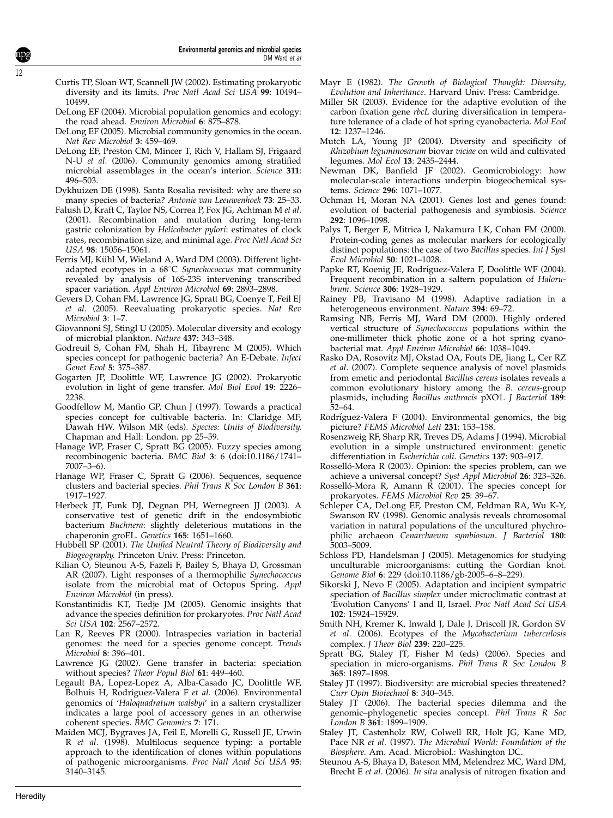- Curtis TP, Sloan WT, Scannell JW (2002). Estimating prokaryotic diversity and its limits. Proc Natl Acad Sci USA 99: 10494– 10499.
- DeLong EF (2004). Microbial population genomics and ecology: the road ahead. Environ Microbiol 6: 875–878.
- DeLong EF (2005). Microbial community genomics in the ocean. Nat Rev Microbiol 3: 459–469.
- DeLong EF, Preston CM, Mincer T, Rich V, Hallam SJ, Frigaard N-U et al. (2006). Community genomics among stratified microbial assemblages in the ocean's interior. Science 311: 496–503.
- Dykhuizen DE (1998). Santa Rosalia revisited: why are there so many species of bacteria? Antonie van Leeuwenhoek 73: 25–33.
- Falush D, Kraft C, Taylor NS, Correa P, Fox JG, Achtman M et al. (2001). Recombination and mutation during long-term gastric colonization by Helicobacter pylori: estimates of clock rates, recombination size, and minimal age. Proc Natl Acad Sci USA 98: 15056–15061.
- Ferris MJ, Kühl M, Wieland A, Ward DM (2003). Different lightadapted ecotypes in a  $68^{\circ}$ C *Synechococcus* mat community revealed by analysis of 16S-23S intervening transcribed spacer variation. Appl Environ Microbiol 69: 2893-2898.
- Gevers D, Cohan FM, Lawrence JG, Spratt BG, Coenye T, Feil EJ et al. (2005). Reevaluating prokaryotic species. Nat Rev Microbiol 3: 1–7.
- Giovannoni SJ, Stingl U (2005). Molecular diversity and ecology of microbial plankton. Nature 437: 343–348.
- Godreuil S, Cohan FM, Shah H, Tibayrenc M (2005). Which species concept for pathogenic bacteria? An E-Debate. Infect Genet Evol 5: 375–387.
- Gogarten JP, Doolittle WF, Lawrence JG (2002). Prokaryotic evolution in light of gene transfer. Mol Biol Evol 19: 2226– 2238.
- Goodfellow M, Manfio GP, Chun J (1997). Towards a practical species concept for cultivable bacteria. In: Claridge MF, Dawah HW, Wilson MR (eds). Species: Units of Biodiversity. Chapman and Hall: London. pp 25–59.
- Hanage WP, Fraser C, Spratt BG (2005). Fuzzy species among recombinogenic bacteria. BMC Biol 3: 6 (doi:10.1186/1741– 7007–3–6).
- Hanage WP, Fraser C, Spratt G (2006). Sequences, sequence clusters and bacterial species. Phil Trans R Soc London B 361: 1917–1927.
- Herbeck JT, Funk DJ, Degnan PH, Wernegreen JJ (2003). A conservative test of genetic drift in the endosymbiotic bacterium Buchnera: slightly deleterious mutations in the chaperonin groEL. Genetics 165: 1651–1660.
- Hubbell SP (2001). The Unified Neutral Theory of Biodiversity and Biogeography. Princeton Univ. Press: Princeton.
- Kilian O, Steunou A-S, Fazeli F, Bailey S, Bhaya D, Grossman AR (2007). Light responses of a thermophilic Synechococcus isolate from the microbial mat of Octopus Spring. Appl Environ Microbiol (in press).
- Konstantinidis KT, Tiedje JM (2005). Genomic insights that advance the species definition for prokaryotes. Proc Natl Acad Sci USA 102: 2567–2572.
- Lan R, Reeves PR (2000). Intraspecies variation in bacterial genomes: the need for a species genome concept. Trends Microbiol 8: 396–401.
- Lawrence JG (2002). Gene transfer in bacteria: speciation without species? Theor Popul Biol 61: 449–460.
- Legault BA, Lopez-Lopez A, Alba-Casado JC, Doolittle WF, Bolhuis H, Rodriguez-Valera F et al. (2006). Environmental genomics of 'Haloquadratum walsbyi' in a saltern crystallizer indicates a large pool of accessory genes in an otherwise coherent species. BMC Genomics 7: 171.
- Maiden MCJ, Bygraves JA, Feil E, Morelli G, Russell JE, Urwin R et al. (1998). Multilocus sequence typing: a portable approach to the identification of clones within populations of pathogenic microorganisms. Proc Natl Acad Sci USA 95: 3140–3145.
- Mayr E (1982). The Growth of Biological Thought: Diversity, Evolution and Inheritance. Harvard Univ. Press: Cambridge.
- Miller SR (2003). Evidence for the adaptive evolution of the carbon fixation gene rbcL during diversification in temperature tolerance of a clade of hot spring cyanobacteria. Mol Ecol 12: 1237–1246.
- Mutch LA, Young JP (2004). Diversity and specificity of Rhizobium leguminosarum biovar viciae on wild and cultivated legumes. Mol Ecol 13: 2435–2444.
- Newman DK, Banfield JF (2002). Geomicrobiology: how molecular-scale interactions underpin biogeochemical systems. Science 296: 1071–1077.
- Ochman H, Moran NA (2001). Genes lost and genes found: evolution of bacterial pathogenesis and symbiosis. Science 292: 1096–1098.
- Palys T, Berger E, Mitrica I, Nakamura LK, Cohan FM (2000). Protein-coding genes as molecular markers for ecologically distinct populations: the case of two Bacillus species. Int J Syst Evol Microbiol 50: 1021–1028.
- Papke RT, Koenig JE, Rodríguez-Valera F, Doolittle WF (2004). Frequent recombination in a saltern population of Halorubrum. Science 306: 1928–1929.
- Rainey PB, Travisano M (1998). Adaptive radiation in a heterogeneous environment. Nature 394: 69–72.
- Ramsing NB, Ferris MJ, Ward DM (2000). Highly ordered vertical structure of Synechococcus populations within the one-millimeter thick photic zone of a hot spring cyanobacterial mat. Appl Environ Microbiol 66: 1038-1049.
- Rasko DA, Rosovitz MJ, Okstad OA, Fouts DE, Jiang L, Cer RZ et al. (2007). Complete sequence analysis of novel plasmids from emetic and periodontal Bacillus cereus isolates reveals a common evolutionary history among the B. cereus-group plasmids, including Bacillus anthracis pXO1. J Bacteriol 189: 52–64.
- Rodríguez-Valera F (2004). Environmental genomics, the big picture? FEMS Microbiol Lett 231: 153–158.
- Rosenzweig RF, Sharp RR, Treves DS, Adams J (1994). Microbial evolution in a simple unstructured environment: genetic differentiation in Escherichia coli. Genetics 137: 903–917.
- Rosselló-Mora R (2003). Opinion: the species problem, can we achieve a universal concept? Syst Appl Microbiol 26: 323–326.
- Rosselló-Mora R, Amann  $\overline{R}$  (2001). The species concept for prokaryotes. FEMS Microbiol Rev 25: 39–67.
- Schleper CA, DeLong EF, Preston CM, Feldman RA, Wu K-Y, Swanson RV (1998). Genomic analysis reveals chromosomal variation in natural populations of the uncultured phychrophilic archaeon Cenarchaeum symbiosum. J Bacteriol 180: 5003–5009.
- Schloss PD, Handelsman J (2005). Metagenomics for studying unculturable microorganisms: cutting the Gordian knot. Genome Biol 6: 229 (doi:10.1186/gb-2005-6-8-229).
- Sikorski J, Nevo E (2005). Adaptation and incipient sympatric speciation of *Bacillus simplex* under microclimatic contrast at 'Evolution Canyons' I and II, Israel. Proc Natl Acad Sci USA 102: 15924–15929.
- Smith NH, Kremer K, Inwald J, Dale J, Driscoll JR, Gordon SV et al. (2006). Ecotypes of the Mycobacterium tuberculosis complex. *J Theor Biol* 239: 220-225.
- Spratt BG, Staley JT, Fisher M (eds) (2006). Species and speciation in micro-organisms. Phil Trans R Soc London B 365: 1897–1898.
- Staley JT (1997). Biodiversity: are microbial species threatened? Curr Opin Biotechnol 8: 340–345.
- Staley JT (2006). The bacterial species dilemma and the genomic–phylogenetic species concept. Phil Trans R Soc London B 361: 1899–1909.
- Staley JT, Castenholz RW, Colwell RR, Holt JG, Kane MD, Pace NR et al. (1997). The Microbial World: Foundation of the Biosphere. Am. Acad. Microbiol.: Washington DC.
- Steunou A-S, Bhaya D, Bateson MM, Melendrez MC, Ward DM, Brecht E et al. (2006). In situ analysis of nitrogen fixation and